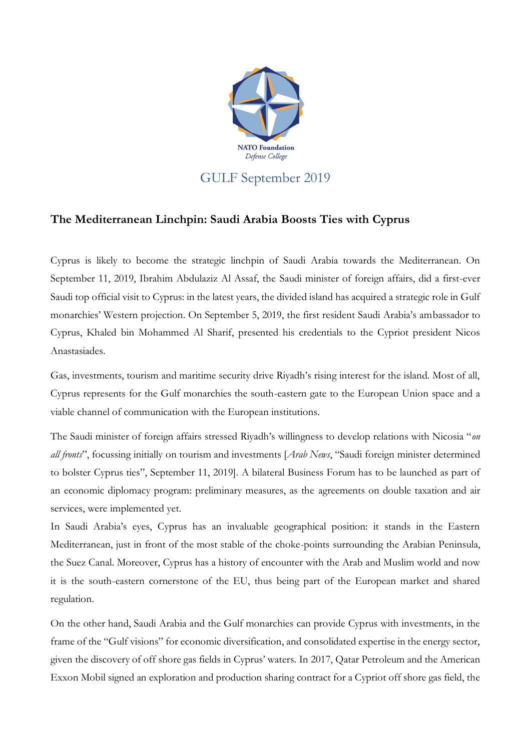

## **The Mediterranean Linchpin: Saudi Arabia Boosts Ties with Cyprus**

Cyprus is likely to become the strategic linchpin of Saudi Arabia towards the Mediterranean. On September 11, 2019, Ibrahim Abdulaziz Al Assaf, the Saudi minister of foreign affairs, did a first-ever Saudi top official visit to Cyprus: in the latest years, the divided island has acquired a strategic role in Gulf monarchies' Western projection. On September 5, 2019, the first resident Saudi Arabia's ambassador to Cyprus, Khaled bin Mohammed Al Sharif, presented his credentials to the Cypriot president Nicos Anastasiades.

Gas, investments, tourism and maritime security drive Riyadh's rising interest for the island. Most of all, Cyprus represents for the Gulf monarchies the south-eastern gate to the European Union space and a viable channel of communication with the European institutions.

The Saudi minister of foreign affairs stressed Riyadh's willingness to develop relations with Nicosia "*on all fronts*", focussing initially on tourism and investments [*Arab News*, "Saudi foreign minister determined to bolster Cyprus ties", September 11, 2019]. A bilateral Business Forum has to be launched as part of an economic diplomacy program: preliminary measures, as the agreements on double taxation and air services, were implemented yet.

In Saudi Arabia's eyes, Cyprus has an invaluable geographical position: it stands in the Eastern Mediterranean, just in front of the most stable of the choke-points surrounding the Arabian Peninsula, the Suez Canal. Moreover, Cyprus has a history of encounter with the Arab and Muslim world and now it is the south-eastern cornerstone of the EU, thus being part of the European market and shared regulation.

On the other hand, Saudi Arabia and the Gulf monarchies can provide Cyprus with investments, in the frame of the "Gulf visions" for economic diversification, and consolidated expertise in the energy sector, given the discovery of off shore gas fields in Cyprus' waters. In 2017, Qatar Petroleum and the American Exxon Mobil signed an exploration and production sharing contract for a Cypriot off shore gas field, the